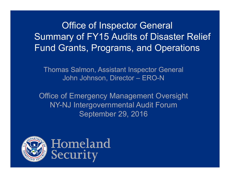**Office of Inspector General** Summary of FY15 Audits of Disaster Relief Fund Grants, Programs, and Operations

Thomas Salmon, Assistant Inspector General John Johnson, Director – ERO-N

Office of Emergency Management Oversight NY-NJ Intergovernmental Audit Forum September 29, 2016



Homeland Security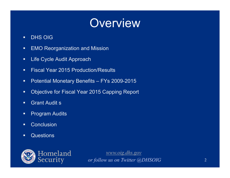#### **Overview**

- $\blacksquare$ DHS OIG
- $\blacksquare$ EMO Reorganization and Mission
- Ξ Life Cycle Audit Approach
- $\blacksquare$ **Fiscal Year 2015 Production/Results**
- $\blacksquare$ Potential Monetary Benefits – FYs 2009-2015
- $\blacksquare$ Objective for Fiscal Year 2015 Capping Report
- п Grant Audit s
- Ξ Program Audits
- $\blacksquare$ **•** Conclusion
- $\blacksquare$ Questions

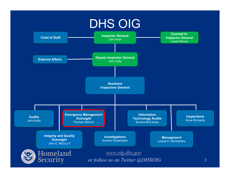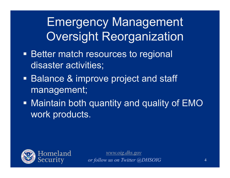Emergency Management Oversight Reorganization

- **Better match resources to regional** disaster activities;
- **Balance & improve project and staff** management;
- Maintain both quantity and quality of EMO work products.

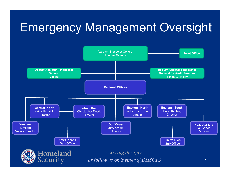# Emergency Management Oversight

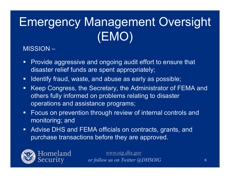# Emergency Management Oversight (EMO)

#### MISSION –

- $\blacksquare$  Provide aggressive and ongoing audit effort to ensure that disaster relief funds are spent appropriately;
- $\blacksquare$ Identify fraud, waste, and abuse as early as possible;
- $\blacksquare$  Keep Congress, the Secretary, the Administrator of FEMA and others fully informed on problems relating to disaster operations and assistance programs;
- $\blacksquare$  Focus on prevention through review of internal controls and monitoring; and
- $\blacksquare$  Advise DHS and FEMA officials on contracts, grants, and purchase transactions before they are approved.

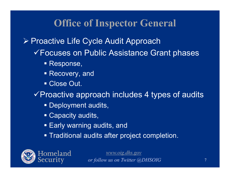**≻ Proactive Life Cycle Audit Approach** 

- Focuses on Public Assistance Grant phases
	- Response,
	- Recovery, and
	- Close Out.

 $\checkmark$  Proactive approach includes 4 types of audits

- **Deployment audits,**
- Capacity audits,
- Early warning audits, and
- Traditional audits after project completion.

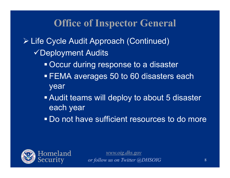Life Cycle Audit Approach (Continued) Deployment Audits

- Occur during response to a disaster
- FEMA averages 50 to 60 disasters each year
- **Audit teams will deploy to about 5 disaster** each year
- **Do not have sufficient resources to do more**

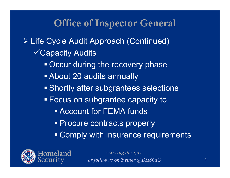Life Cycle Audit Approach (Continued) Capacity Audits **Occur during the recovery phase**  About 20 audits annually **Shortly after subgrantees selections** Focus on subgrantee capacity to

- Account for FEMA funds
- **Procure contracts properly**
- Comply with insurance requirements

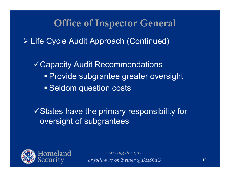Life Cycle Audit Approach (Continued)

Capacity Audit Recommendations **Provide subgrantee greater oversight Seldom question costs** 

 $\checkmark$  States have the primary responsibility for oversight of subgrantees

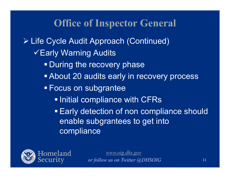Life Cycle Audit Approach (Continued)

- **VEarly Warning Audits** 
	- **During the recovery phase**
	- About 20 audits early in recovery process
	- **Focus on subgrantee** 
		- **. Initial compliance with CFRs**
		- **Early detection of non compliance should** enable subgrantees to get into **compliance**

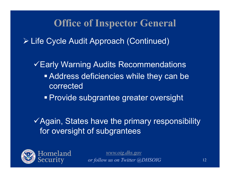Life Cycle Audit Approach (Continued)

Early Warning Audits Recommendations Address deficiencies while they can be corrected

**Provide subgrantee greater oversight** 

 $\checkmark$  Again, States have the primary responsibility for oversight of subgrantees

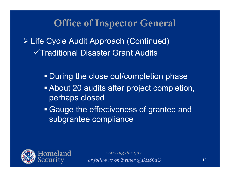Life Cycle Audit Approach (Continued) Traditional Disaster Grant Audits

**During the close out/completion phase** 

 About 20 audits after project completion, perhaps closed

 Gauge the effectiveness of grantee and subgrantee compliance

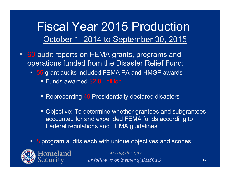#### Fiscal Year 2015 ProductionOctober 1, 2014 to September 30, 2015

- $\blacksquare$ ■ 63 audit reports on FEMA grants, programs and operations funded from the Disaster Relief Fund:
	- **55** grant audits included FEMA PA and HMGP awards
		- Funds awarded \$2.81 billion
		- Representing 49 Presidentially-declared disasters
		- **Diangler 10 Set 20 To determine whether grantees and subgrantees** accounted for and expended FEMA funds according to Federal regulations and FEMA guidelines
	- **8** program audits each with unique objectives and scopes



Homeland ecurity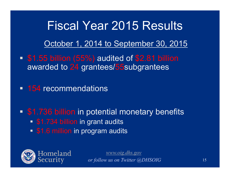# Fiscal Year 2015 Results October 1, 2014 to September 30, 2015

- \$1.55 billion (55%) audited of \$2.81 billion awarded to 24 grantees/55subgrantees
- **154 recommendations**
- **51.736 billion in potential monetary benefits** 
	- **S1.734 billion in grant audits**
	- **51.6 million in program audits**

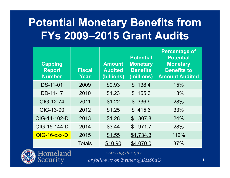#### **Potential Monetary Benefits from FYs 2009–2015 Grant Audits**

| <b>Capping</b><br><b>Report</b><br><b>Number</b> | <b>Fiscal</b><br>Year | <b>Amount</b><br><b>Audited</b><br>(billions) | <b>Potential</b><br><b>Monetary</b><br><b>Benefits</b><br>(millions) | <b>Percentage of</b><br><b>Potential</b><br><b>Monetary</b><br><b>Benefits to</b><br><b>Amount Audited</b> |
|--------------------------------------------------|-----------------------|-----------------------------------------------|----------------------------------------------------------------------|------------------------------------------------------------------------------------------------------------|
| <b>DS-11-01</b>                                  | 2009                  | \$0.93                                        | \$138.4                                                              | 15%                                                                                                        |
| DD-11-17                                         | 2010                  | \$1.23                                        | \$165.3                                                              | 13%                                                                                                        |
| OIG-12-74                                        | 2011                  | \$1.22                                        | \$ 336.9                                                             | 28%                                                                                                        |
| OIG-13-90                                        | 2012                  | \$1.25                                        | \$415.6                                                              | 33%                                                                                                        |
| OIG-14-102-D                                     | 2013                  | \$1.28                                        | $\mathbb{S}^-$<br>307.8                                              | 24%                                                                                                        |
| OIG-15-144-D                                     | 2014                  | \$3.44                                        | $\mathfrak{P}$<br>971.7                                              | 28%                                                                                                        |
| OIG-16-XXX-D                                     | 2015                  | \$1.55                                        | \$1,734.3                                                            | 112%                                                                                                       |
|                                                  | <b>Totals</b>         | \$10.90                                       | \$4,070.0                                                            | 37%                                                                                                        |



Homeland

Security

*www.oig.dhs.gov*

*or follow us on Twitter @DHSOIG*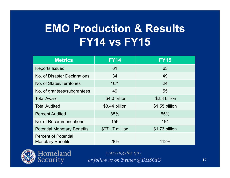#### **EMO Production & Results FY14 vs FY15**

| <b>Metrics</b>                                          | <b>FY14</b>     | <b>FY15</b>    |
|---------------------------------------------------------|-----------------|----------------|
| <b>Reports Issued</b>                                   | 61              | 63             |
| No. of Disaster Declarations                            | 34              | 49             |
| No. of States/Territories                               | 16/1            | 24             |
| No. of grantees/subgrantees                             | 49              | 55             |
| <b>Total Award</b>                                      | \$4.0 billion   | \$2.8 billion  |
| <b>Total Audited</b>                                    | \$3.44 billion  | \$1.55 billion |
| <b>Percent Audited</b>                                  | 85%             | 55%            |
| No. of Recommendations                                  | 159             | 154            |
| <b>Potential Monetary Benefits</b>                      | \$971.7 million | \$1.73 billion |
| <b>Percent of Potential</b><br><b>Monetary Benefits</b> | 28%             | 112%           |

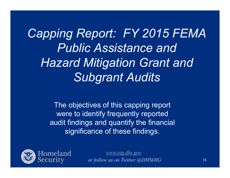*Capping Report: FY 2015 FEMA Public Assistance and Hazard Mitigation Grant and Subgrant Audits*

> The objectives of this capping report were to identify frequently reported audit findings and quantify the financial significance of these findings.

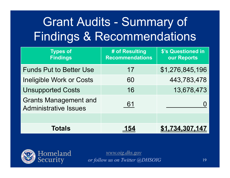# Grant Audits - Summary of Findings & Recommendations

| <b>Types of</b><br><b>Findings</b>                           | # of Resulting<br><b>Recommendations</b> | \$'s Questioned in<br>our Reports |
|--------------------------------------------------------------|------------------------------------------|-----------------------------------|
| <b>Funds Put to Better Use</b>                               | 17                                       | \$1,276,845,196                   |
| <b>Ineligible Work or Costs</b>                              | 60                                       | 443,783,478                       |
| <b>Unsupported Costs</b>                                     | 16                                       | 13,678,473                        |
| <b>Grants Management and</b><br><b>Administrative Issues</b> | 61                                       |                                   |
|                                                              |                                          |                                   |
| Totals                                                       |                                          |                                   |

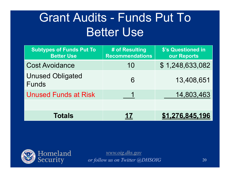# Grant Audits - Funds Put To Better Use

| <b>Subtypes of Funds Put To</b><br><b>Better Use</b> | # of Resulting<br><b>Recommendations</b> | \$'s Questioned in<br>our Reports |
|------------------------------------------------------|------------------------------------------|-----------------------------------|
| <b>Cost Avoidance</b>                                | 10                                       | \$1,248,633,082                   |
| <b>Unused Obligated</b><br><b>Funds</b>              | 6                                        | 13,408,651                        |
| <b>Unused Funds at Risk</b>                          |                                          | 14,803,463                        |
|                                                      |                                          |                                   |
| <b>Totals</b>                                        | 17                                       | \$1,276,845.196                   |

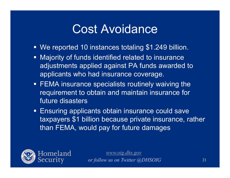#### Cost Avoidance

- We reported 10 instances totaling \$1.249 billion.
- **Majority of funds identified related to insurance** adjustments applied against PA funds awarded to applicants who had insurance coverage.
- **FEMA insurance specialists routinely waiving the** requirement to obtain and maintain insurance for future disasters
- **Ensuring applicants obtain insurance could save** taxpayers \$1 billion because private insurance, rather than FEMA, would pay for future damages

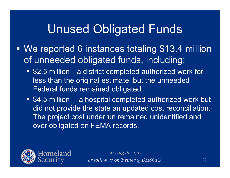### Unused Obligated Funds

- Ξ We reported 6 instances totaling \$13.4 million of unneeded obligated funds, including:
	- \$2.5 million—a district completed authorized work for less than the original estimate, but the unneeded Federal funds remained obligated.
	- \$4.5 million— a hospital completed authorized work but did not provide the state an updated cost reconciliation. The project cost underrun remained unidentified and over obligated on FEMA records.

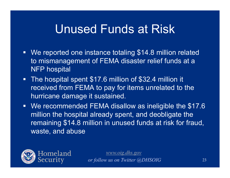#### Unused Funds at Risk

- We reported one instance totaling \$14.8 million related to mismanagement of FEMA disaster relief funds at a NFP hospital
- The hospital spent \$17.6 million of \$32.4 million it received from FEMA to pay for items unrelated to the hurricane damage it sustained.
- We recommended FEMA disallow as ineligible the \$17.6 million the hospital already spent, and deobligate the remaining \$14.8 million in unused funds at risk for fraud, waste, and abuse

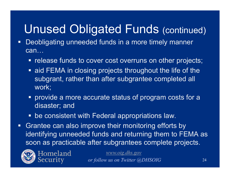# Unused Obligated Funds (continued)

- Deobligating unneeded funds in a more timely manner can…
	- **release funds to cover cost overruns on other projects;**
	- **Example 20 and FEMA in closing projects throughout the life of the** subgrant, rather than after subgrantee completed all work;
	- **•** provide a more accurate status of program costs for a disaster; and
	- be consistent with Federal appropriations law.
- $\Box$  Grantee can also improve their monitoring efforts by identifying unneeded funds and returning them to FEMA as soon as practicable after subgrantees complete projects.



Homeland Security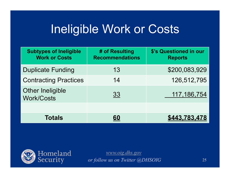#### Ineligible Work or Costs

| <b>Subtypes of Ineligible</b><br><b>Work or Costs</b> | # of Resulting<br><b>Recommendations</b> | \$'s Questioned in our<br><b>Reports</b> |
|-------------------------------------------------------|------------------------------------------|------------------------------------------|
| <b>Duplicate Funding</b>                              | 13                                       | \$200,083,929                            |
| <b>Contracting Practices</b>                          | 14                                       | 126,512,795                              |
| <b>Other Ineligible</b><br><b>Work/Costs</b>          | 33                                       | 117, 186, 754                            |
|                                                       |                                          |                                          |
| <b>Totals</b>                                         | 60                                       | 443.783.478                              |

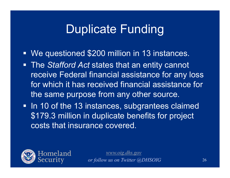#### Duplicate Funding

- We questioned \$200 million in 13 instances.
- The *Stafford Act* states that an entity cannot receive Federal financial assistance for any loss for which it has received financial assistance for the same purpose from any other source.
- In 10 of the 13 instances, subgrantees claimed \$179.3 million in duplicate benefits for project costs that insurance covered.

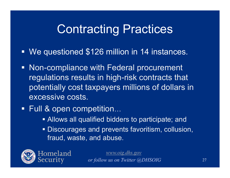### Contracting Practices

- We questioned \$126 million in 14 instances.
- **Non-compliance with Federal procurement** regulations results in high-risk contracts that potentially cost taxpayers millions of dollars in excessive costs.
- Full & open competition...
	- **Allows all qualified bidders to participate; and**
	- Discourages and prevents favoritism, collusion, fraud, waste, and abuse.

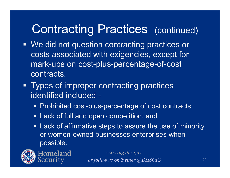## Contracting Practices (continued)

- We did not question contracting practices or costs associated with exigencies, except for mark-ups on cost-plus-percentage-of-cost contracts.
- **Types of improper contracting practices** identified included -
	- Prohibited cost-plus-percentage of cost contracts;
	- **Example 1 Lack of full and open competition; and**
	- **EXALE:** Lack of affirmative steps to assure the use of minority or women-owned businesses enterprises when possible.



Homeland Security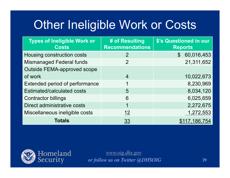# Other Ineligible Work or Costs

| <b>Types of Ineligible Work or</b><br><b>Costs</b> | # of Resulting<br><b>Recommendations</b> | \$'s Questioned in our<br><b>Reports</b> |
|----------------------------------------------------|------------------------------------------|------------------------------------------|
| Housing construction costs                         | 2                                        | 60,016,453<br>$\mathbb{S}$               |
| <b>Mismanaged Federal funds</b>                    | $\overline{2}$                           | 21,311,652                               |
| <b>Outside FEMA-approved scope</b>                 |                                          |                                          |
| of work                                            | $\overline{4}$                           | 10,022,673                               |
| Extended period of performance                     |                                          | 8,230,969                                |
| <b>Estimated/calculated costs</b>                  | 5                                        | 8,034,120                                |
| <b>Contractor billings</b>                         | 6                                        | 6,025,659                                |
| Direct administrative costs                        |                                          | 2,272,675                                |
| Miscellaneous ineligible costs                     | 12                                       | 1,272,553                                |
| <b>Totals</b>                                      | 33                                       | \$117,186,754                            |

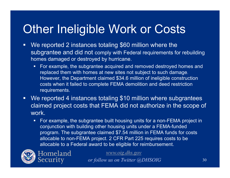# **Other Ineligible Work or Costs**

- $\Box$ We reported 2 instances totaling \$60 million where the subgrantee and did not comply with Federal requirements for rebuilding homes damaged or destroyed by hurricane.
	- For example, the subgrantee acquired and removed destroyed homes and replaced them with homes at new sites not subject to such damage. However, the Department claimed \$34.6 million of ineligible construction costs when it failed to complete FEMA demolition and deed restriction requirements.
- $\blacksquare$ We reported 4 instances totaling \$10 million where subgrantees claimed project costs that FEMA did not authorize in the scope of work.
	- $\blacksquare$  For example, the subgrantee built housing units for a non-FEMA project in conjunction with building other housing units under a FEMA-funded program. The subgrantee claimed \$7.54 million in FEMA funds for costs allocable to non-FEMA project. 2 CFR Part 225 requires costs to be allocable to a Federal award to be eligible for reimbursement.



Homeland Security

*www.oig.dhs.gov*

*or follow us on Twitter @DHSOIG*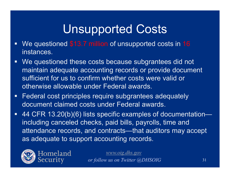# Unsupported Costs

- We questioned \$13.7 million of unsupported costs in 16 instances.
- We questioned these costs because subgrantees did not maintain adequate accounting records or provide document sufficient for us to confirm whether costs were valid or otherwise allowable under Federal awards.
- **Federal cost principles require subgrantees adequately** document claimed costs under Federal awards.
- 44 CFR 13.20(b)(6) lists specific examples of documentation including canceled checks, paid bills, payrolls, time and attendance records, and contracts—that auditors may accept as adequate to support accounting records.

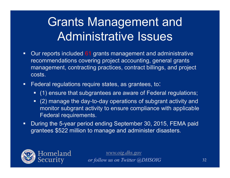# Grants Management and Administrative Issues

- $\blacksquare$ Our reports included 61 grants management and administrative recommendations covering project accounting, general grants management, contracting practices, contract billings, and project costs.
- $\mathbf{m} \in \mathbb{R}^n$  Federal regulations require states, as grantees, to:
	- (1) ensure that subgrantees are aware of Federal regulations;
	- (2) manage the day-to-day operations of subgrant activity and monitor subgrant activity to ensure compliance with applicable Federal requirements.
- $\blacksquare$  During the 5-year period ending September 30, 2015, FEMA paid grantees \$522 million to manage and administer disasters.

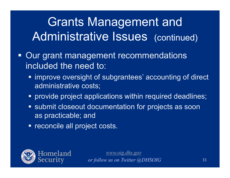# Grants Management and Administrative Issues (continued)

- **Our grant management recommendations** included the need to:
	- **The improve oversight of subgrantees' accounting of direct** administrative costs;
	- provide project applications within required deadlines;
	- **Submit closeout documentation for projects as soon** as practicable; and
	- **reconcile all project costs.**

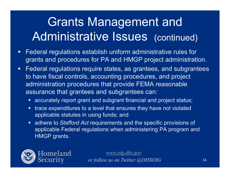# Grants Management and Administrative Issues (continued)

- $\blacksquare$  Federal regulations establish uniform administrative rules for grants and procedures for PA and HMGP project administration.
- $\Box$  Federal regulations require states, as grantees, and subgrantees to have fiscal controls, accounting procedures, and project administration procedures that provide FEMA reasonable assurance that grantees and subgrantees can:
	- accurately report grant and subgrant financial and project status;
	- $\textcolor{red}{\bullet}$  trace expenditures to a level that ensures they have not violated applicable statutes in using funds; and
	- adhere to *Stafford Act* requirements and the specific provisions of applicable Federal regulations when administering PA program and HMGP grants.

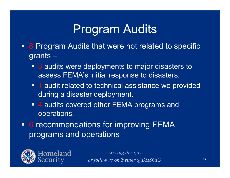## Program Audits

- **8 Program Audits that were not related to specific** grants –
	- 3 audits were deployments to major disasters to assess FEMA's initial response to disasters.
	- **1** audit related to technical assistance we provided during a disaster deployment.
	- 4 audits covered other FEMA programs and operations.
- 6 recommendations for improving FEMA programs and operations

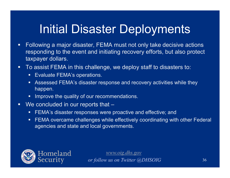# Initial Disaster Deployments

- $\blacksquare$  Following a major disaster, FEMA must not only take decisive actions responding to the event and initiating recovery efforts, but also protect taxpayer dollars.
- $\blacksquare$  To assist FEMA in this challenge, we deploy staff to disasters to:
	- **Evaluate FEMA's operations.**
	- Assessed FEMA's disaster response and recovery activities while they happen.
	- **IMPROVE the quality of our recommendations.**
- $\blacksquare$ We concluded in our reports that –
	- FEMA's disaster responses were proactive and effective; and
	- FEMA overcame challenges while effectively coordinating with other Federal agencies and state and local governments.

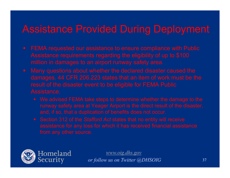#### Assistance Provided During Deployment

- 
- Assistance.
	- We advised FEMA take steps to determine whether the damage to the
	-

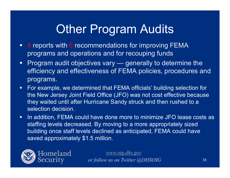## **Other Program Audits**

- $\blacksquare$ ■ 4 reports with 6 recommendations for improving FEMA programs and operations and for recouping funds
- $\blacksquare$  Program audit objectives vary — generally to determine the efficiency and effectiveness of FEMA policies, procedures and programs.
- $\Box$  For example, we determined that FEMA officials' building selection for the New Jersey Joint Field Office (JFO) was not cost effective because they waited until after Hurricane Sandy struck and then rushed to a selection decision.
- $\Box$  In addition, FEMA could have done more to minimize JFO lease costs as staffing levels decreased. By moving to a more appropriately sized building once staff levels declined as anticipated, FEMA could have saved approximately \$1.5 million.

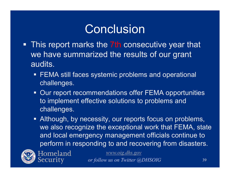- **This report marks the 7th consecutive year that** we have summarized the results of our grant audits.
	- **FEMA still faces systemic problems and operational** challenges.
	- Our report recommendations offer FEMA opportunities to implement effective solutions to problems and challenges.
	- **Although, by necessity, our reports focus on problems,** we also recognize the exceptional work that FEMA, state and local emergency management officials continue to perform in responding to and recovering from disasters.



Homeland ecurity

*www.oig.dhs.gov*

*or follow us on Twitter @DHSOIG*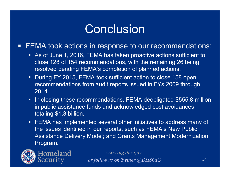e<br>S FEMA took actions in response to our recommendations:

- As of June 1, 2016, FEMA has taken proactive actions sufficient to close 128 of 154 recommendations, with the remaining 26 being resolved pending FEMA's completion of planned actions.
- During FY 2015, FEMA took sufficient action to close 158 open recommendations from audit reports issued in FYs 2009 through 2014.
- **IF In closing these recommendations, FEMA deobligated \$555.8 million** in public assistance funds and acknowledged cost avoidances totaling \$1.3 billion.
- FEMA has implemented several other initiatives to address many of the issues identified in our reports, such as FEMA's New Public Assistance Delivery Model; and Grants Management Modernization Program.



Homeland Security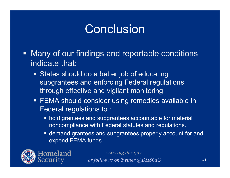- **Many of our findings and reportable conditions** indicate that:
	- **States should do a better job of educating** subgrantees and enforcing Federal regulations through effective and vigilant monitoring.
	- FEMA should consider using remedies available in Federal regulations to :
		- **hold grantees and subgrantees accountable for material** noncompliance with Federal statutes and regulations.
		- demand grantees and subgrantees properly account for and expend FEMA funds.

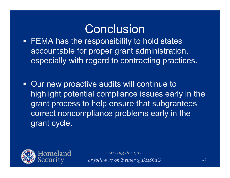■ FEMA has the responsibility to hold states accountable for proper grant administration, especially with regard to contracting practices.

**- Our new proactive audits will continue to** highlight potential compliance issues early in the grant process to help ensure that subgrantees correct noncompliance problems early in the grant cycle.

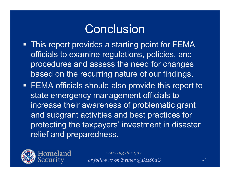- **This report provides a starting point for FEMA** officials to examine regulations, policies, and procedures and assess the need for changes based on the recurring nature of our findings.
- FEMA officials should also provide this report to state emergency management officials to increase their awareness of problematic grant and subgrant activities and best practices for protecting the taxpayers' investment in disaster relief and preparedness.